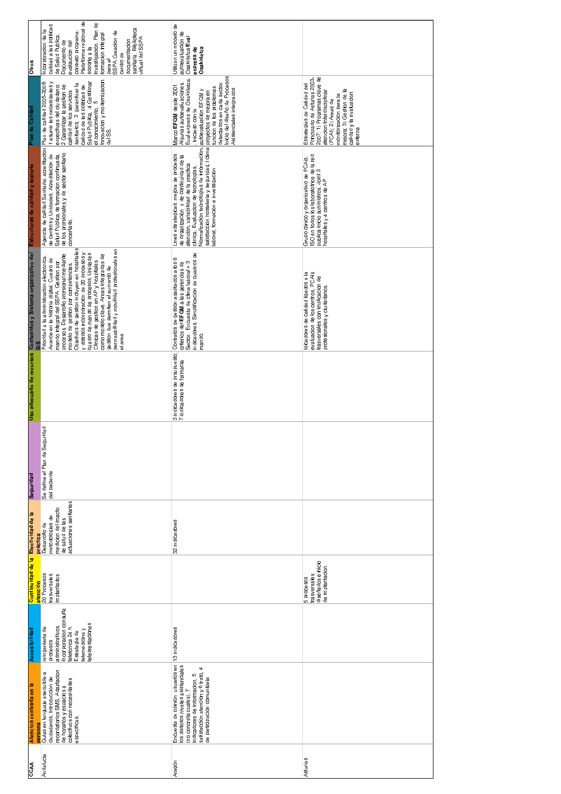| <b>Otros</b>                                                                                           | Plataforma regional de<br>Investigación. Plan de<br>calidad a las políticas<br>sanitaria Bilblioteca<br>Incorporacion de la<br>SSPA Creacion de<br>contrato programa<br>formación integral<br>de Salud Publica<br>virtual del SSPA<br>documentación<br>Documento de<br>evalaucion del<br>soporte a la<br>centro de<br>parael                                                                                                                                                                                                                               | Utilizan un modelo de<br>autoevaluación de<br>Osakidetza Eval<br>express de<br>Osakidetza                                                                                                                                                                                                                                   |                                                                                                                                                                                                                                           |
|--------------------------------------------------------------------------------------------------------|------------------------------------------------------------------------------------------------------------------------------------------------------------------------------------------------------------------------------------------------------------------------------------------------------------------------------------------------------------------------------------------------------------------------------------------------------------------------------------------------------------------------------------------------------------|-----------------------------------------------------------------------------------------------------------------------------------------------------------------------------------------------------------------------------------------------------------------------------------------------------------------------------|-------------------------------------------------------------------------------------------------------------------------------------------------------------------------------------------------------------------------------------------|
| Plan de Calidad                                                                                        | Innovacion y modernizacion<br>1 asumir las necesidades y<br>Salud Publica, 4 Gestionar<br>Plan de calidad 2005-2008<br>calidad de los servicios<br>sanitarios; 3 garantizar la<br>expectivas del ciudadano;<br>2 Garantizar la gestion de<br>calidad de las políticas de<br>el conocimiento, 5<br>del SS.                                                                                                                                                                                                                                                  | Inicio del diseño de Procesos<br>Eval express de Osakidetza.<br>Algunas autoevaluaciones.<br>detectados en cada sector<br>Marco EFQM de sde 2001<br>Asistenciales integrados<br>autoevaluación EFQM y<br>Iniciado con la                                                                                                    | Principado de Asturias 2003-<br>2007: 1) Programas clave de<br>Estrategias de Calidad del<br>monitorizacion para la<br>mejora; 3) Gestion de la<br>atencion Interdisciplinar<br>calidad y la evaluación<br>(PCAI); 2) Areas de<br>externa |
|                                                                                                        | Agencia de calidad Sanitaria: acreditacion<br>de centros y Unidades. Acreditacion de<br>de los profsionales y de sector sanitario<br>Salud Pública, de formacion continuada,<br>concertado.                                                                                                                                                                                                                                                                                                                                                                | satisfacción hostelería y seguridad, I clima  proyectos de mejora en<br>Iaboral, formación e investigación<br>Normalizacion tecnologias de información.<br>Lines estrategicas: mejora de procesos<br>de organización y de continuidad de la<br>atención, variabilidad de la practica<br>clínica, Evaluacion de tecnologias, | ISO en todos los laboratotrios de la red<br>publica inicio suministros. Joint 3<br>hospitales y 4 centros de AP<br>Grupo clinico y organizativo de PCAis.                                                                                 |
| Uso adecuado de recursos Contenidos y Sistema organizativo del Estructuras de calidad y soporte<br>SIS | modelo de gestion por competencias.<br>Objetivos de gestion incluyen en hospitales<br>permeabilidad y movilidad profesionales en<br>y distritos incorporacion de 20 procesos y<br>cuadro de mando de procesos. Unidades<br>procesos. Desarrollo profsional mediante<br>como modelo clave Areas integradas de<br>Prioridad a la administración electrónica<br>Avance en la historia digital. Cuadro de<br>Clinicas de gestion en AP y hospitales<br>mando integral del SSPA. Gestion por<br>gestion que permiten el aumento de<br>area<br>$\overline{\Phi}$ | indicadores. Simplificacion de cuadros de<br>Contratos de gestion adaptados a los 9<br>criterios del EFQM a las gerencias de<br>Sector: Encuesta de clima laboral + 3<br>mando.                                                                                                                                             | Idicadores de calidad ligados a la<br>evaluacion de los centros. PCAIs<br>trasversales con implicacion de<br>profesionales y ciudadanos.                                                                                                  |
|                                                                                                        |                                                                                                                                                                                                                                                                                                                                                                                                                                                                                                                                                            | 3 indicadores de prsupuesto;<br>7 indicadores de farmacia                                                                                                                                                                                                                                                                   |                                                                                                                                                                                                                                           |
| Seguridad                                                                                              | uridad<br>Se define el Plan de Segu<br>del paciente                                                                                                                                                                                                                                                                                                                                                                                                                                                                                                        |                                                                                                                                                                                                                                                                                                                             |                                                                                                                                                                                                                                           |
| Efectividad de la<br>práctica                                                                          | actuaciones sanitarias<br>medicion del imacto<br>metodologias de<br>de salud de las<br>Desarrollo de                                                                                                                                                                                                                                                                                                                                                                                                                                                       | indicadore <sub>s</sub><br>$\overline{3}$                                                                                                                                                                                                                                                                                   |                                                                                                                                                                                                                                           |
| Continuidad de la<br>atención                                                                          | 20 Procesos<br>trasversales<br>implantados                                                                                                                                                                                                                                                                                                                                                                                                                                                                                                                 |                                                                                                                                                                                                                                                                                                                             | diseñados e inicio<br>de implantación<br>trasversales<br>5 procesos                                                                                                                                                                       |
| Accesibilidad                                                                                          | Incorporación consulta<br>teleprestaciones<br>administrativos<br>telefonica 24 h<br>reingenieria de<br>telemedicina y<br>Estrategia de<br>procesos                                                                                                                                                                                                                                                                                                                                                                                                         | 13 indicadores                                                                                                                                                                                                                                                                                                              |                                                                                                                                                                                                                                           |
| Atencion centrada en la<br>persona                                                                     | recordatorios SMS. Adaptacion<br>æ<br>Guias en lenguaje asequible<br>ciudadanos. Introducción de<br>colectivos con necesidades<br>de horarios y espacios a<br>especificas                                                                                                                                                                                                                                                                                                                                                                                  | Encuesta de opinion usuarios en<br>los distintos niveles asistenciales<br>4<br>satisfaccion atencion y 6 trato.<br>indicadores de informacion, 5<br>de participacion comunitaria<br>(no concreta cuales). 7                                                                                                                 |                                                                                                                                                                                                                                           |
| CCAA                                                                                                   | Andalucia                                                                                                                                                                                                                                                                                                                                                                                                                                                                                                                                                  | Aragon                                                                                                                                                                                                                                                                                                                      | Asturias                                                                                                                                                                                                                                  |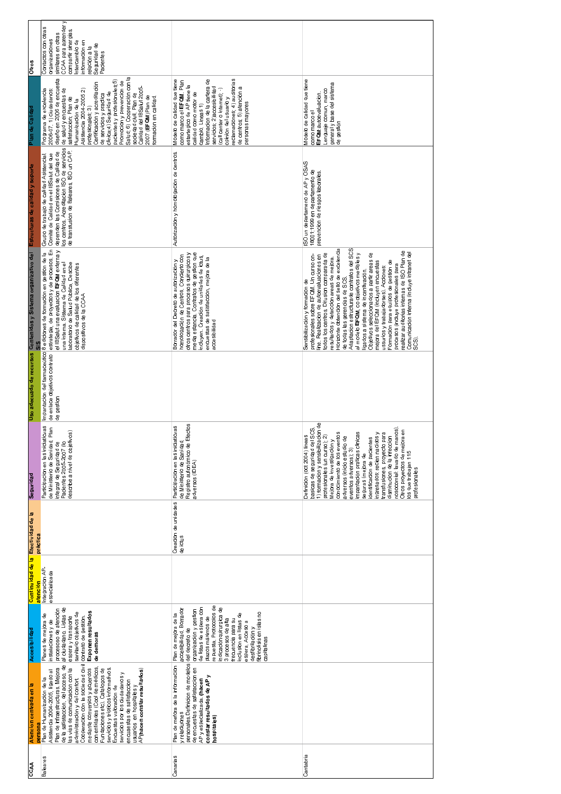| <b>Otros</b>                                                          | CCAA para aprender y<br>Contactos con otras<br>compartir sinergias.<br>similares en otras<br>organizaciones<br>informacion en<br>Intercambio de<br>Seguridad de<br>relación a la<br>Pacientes                                                                                                                                                                                                                                                                                                                                                                           |                                                                                                                                                                                                                                                                                                                                              |                                                                                                                                                                                                                                                                                                                                                                                                                                                                                                                                                                                                                                                                                                                                           |
|-----------------------------------------------------------------------|-------------------------------------------------------------------------------------------------------------------------------------------------------------------------------------------------------------------------------------------------------------------------------------------------------------------------------------------------------------------------------------------------------------------------------------------------------------------------------------------------------------------------------------------------------------------------|----------------------------------------------------------------------------------------------------------------------------------------------------------------------------------------------------------------------------------------------------------------------------------------------------------------------------------------------|-------------------------------------------------------------------------------------------------------------------------------------------------------------------------------------------------------------------------------------------------------------------------------------------------------------------------------------------------------------------------------------------------------------------------------------------------------------------------------------------------------------------------------------------------------------------------------------------------------------------------------------------------------------------------------------------------------------------------------------------|
| Plan de Calidad                                                       | Salud; 6) Cooperación con la<br>diseño en 2006 de encuesta<br>pacientes y profesionales;5)<br>Promocion y prevencion de<br>profesionales; 3)<br>Certificación y acreditación<br>Calidad del IBSalut 2005-<br>Programa de excelencia<br>2006-07_1) ciudadanos:<br>de salud y encuestas de<br>Asistencia 2004-2005 2)<br>clinica;4) Seguridad de<br>sociedad civil Plan de<br>de servicios y practica<br>2007 (EFQM) Plan de<br>formación en calidad<br>satisfacción; Plan de<br>Humanización de la                                                                       | reclamaciones; 4) auditorias<br>Modelo de calidad que tiene<br>Informacion de la cartera de<br>como marco el EFQM. Plan<br>estartegico de AP tiene la<br>servicios; 2) accesibilidad<br>de centros; 5) atención a<br>(call center o internet); )<br>calidad como motor de<br>opinion del usuario y<br>personas mayores<br>cambio. Line as 1) | Modelo de calidad que tiene<br>general y base del sistema<br>Lenguaje comun, marco<br>EFQM: autoevaluación<br>como marco el<br>de gestión                                                                                                                                                                                                                                                                                                                                                                                                                                                                                                                                                                                                 |
| Estructuras de calidad y soporte                                      | dependen las Comisiones de Calidad de<br>los centros. Acreditación ISO de servicios<br>de transfusion de Baleares, ISO un CAP.<br>Comité de Calidad en el IBSalut del que<br>Grupo de trabajo de calidad Asistencial                                                                                                                                                                                                                                                                                                                                                    | Autorizacion y homologación de centros.                                                                                                                                                                                                                                                                                                      | ISO un departameno de AP y OSAS<br>18001:1999 en departamento de<br>prevencion de riesgos laborales                                                                                                                                                                                                                                                                                                                                                                                                                                                                                                                                                                                                                                       |
| Uso adecuado de recursos Contenidos y Sistema organizativo del<br>SIS | Impantacion del farmaceútico i e ediciones de formacion en gestion de la<br>de enlace objetivos contrato  estrategia, de proyectos y de procesos. En<br>el IBSalut una evaluacion EFQM externa y<br>aboratorio de Salud Pública. Descibe<br>una interna. Sistema de Calidad en el<br>objetivos de calidad de los diferentes<br>dispositivos de la CCAA                                                                                                                                                                                                                  | media estancia. Contratos de gestion que<br>otros centros para procesos quirurgicos y<br>homologación de Centros Concierto con<br>incluyen. Creación de unidades de ictus,<br>encuestas de satisfaccion, mejora de la<br>Borrador del Decreto de autorización y<br>accesibilidad                                                             | Horizonte obtencion del sello de excelencia<br>Adaptacion estructurade contratos del SCS<br>ealizar auditorias internas de ISO Plan de<br>Objetivos seleccionados a partir areas de<br>Comunicación interna (incluye intranet del<br>todos los centros. Difusion comparada de<br>al modelo EFQM, co objetivos medibles y<br>profesionales sobre EFQM. Un curso on-<br>ine. Realizacion de autoevaluaciones en<br>resultados y deteccion areas de mejora<br>Formacion para equipos de gestion de<br>mejora del EFQM (incluyen encuestas<br>procesos (incluye profesionales para<br>ussurios y trabajadorses). Acciones:<br>ligados a sistema de incentivación.<br>de todas las gerencias de SCS<br>Sensibilización y formacion de<br>SCS). |
|                                                                       | de gestion                                                                                                                                                                                                                                                                                                                                                                                                                                                                                                                                                              |                                                                                                                                                                                                                                                                                                                                              |                                                                                                                                                                                                                                                                                                                                                                                                                                                                                                                                                                                                                                                                                                                                           |
| Seguridad                                                             | icvas<br>Plan<br>describe a nivel de objetivos)<br>Participacion en las iniciat<br>integral de Seguridad de<br>Pacientes 2005-2007 (lo<br>de Ministerio de Sanidad                                                                                                                                                                                                                                                                                                                                                                                                      | Registro autonómico de Efectos<br>adversos (IDEA)<br>cvas<br>Participacion en las iniciat<br>de Ministerio de Sanidad                                                                                                                                                                                                                        | 1) formacion y sensibilizacion de<br>basicas de seguridad del SCS.<br>nosocomial: lavado de manos)<br>Otros proyectos de mejora en<br>transfusiones, proyecto para<br>impantación praticas clinicas<br>ingresados: recien nacidos y<br>conocimiento de los eventos<br>Definicion (oct 2004) lineas<br>profesionales (un curso); 2)<br>adversos (inicio estudio de<br>identificacion de pacientes<br>disminucion de la infeccion<br>Mejora de investigación y<br>eventos adversos); 3)<br>los que trabajan 115<br>seguras (mejora de<br>profesionales                                                                                                                                                                                      |
| práctica                                                              |                                                                                                                                                                                                                                                                                                                                                                                                                                                                                                                                                                         | Creacion de unidades<br>de ictus                                                                                                                                                                                                                                                                                                             |                                                                                                                                                                                                                                                                                                                                                                                                                                                                                                                                                                                                                                                                                                                                           |
| Continuidad de la Efectividad de la                                   | <mark>atención</mark><br>Integracion AP-<br>especializada                                                                                                                                                                                                                                                                                                                                                                                                                                                                                                               |                                                                                                                                                                                                                                                                                                                                              |                                                                                                                                                                                                                                                                                                                                                                                                                                                                                                                                                                                                                                                                                                                                           |
| Accesibilidad                                                         | al ciudadano. Listas de<br>procesoso de atención<br>Exponen resultados<br>sanitario objetivos de<br>Planes de mejora de<br>espera y transporte<br>contrato de gestion<br>instalaciones y de<br>de demoras                                                                                                                                                                                                                                                                                                                                                               | repuesta. Protocolos de<br>indicaciónquirurgica de<br>de listas de espera con<br>accesibilidad Borrador<br>organización y gestion<br>ibrinolisis en islas no<br>Plan de mejora de la<br>nclusion en listas de<br>plazos máximos de<br>3 procesos de alta<br>frecuencia para su<br>espera Acceso a<br>desfibrilación y<br>capitalinas         |                                                                                                                                                                                                                                                                                                                                                                                                                                                                                                                                                                                                                                                                                                                                           |
| Atencion centrada en la                                               | de la satisfacción, del acceso, de<br>Cooperacion con la sociedad civ<br>con entidades (Cool de médicos,<br>Plan de infraestructuras. Mejora<br>las vias de comunicación con la<br>mediante convenios y acuerdos<br>Fundaciones etc) Catalogos de<br>servicios y tripticos informativos<br>AP(hacen constar resultados)<br>Asistencia 2004-2005, ligado al<br>servicios por los ciudadanos y<br><mark>persona</mark><br>Plan de Humanización de la<br>administración y del confort<br>encuaestas de satisfaccion<br>Encuestas valoracion de<br>usuarios en hospitales y | personales. Definicion de modelos del decreto de<br>Plan de metora de la informacion<br>de encuestas de satisfaccion en<br>constar resultados de AP y<br>AP y especializada (hacen<br>y relaciuones<br>hospitales)                                                                                                                           |                                                                                                                                                                                                                                                                                                                                                                                                                                                                                                                                                                                                                                                                                                                                           |
| CCAA                                                                  | <b>Baleares</b>                                                                                                                                                                                                                                                                                                                                                                                                                                                                                                                                                         | Canarias                                                                                                                                                                                                                                                                                                                                     | Cantabria                                                                                                                                                                                                                                                                                                                                                                                                                                                                                                                                                                                                                                                                                                                                 |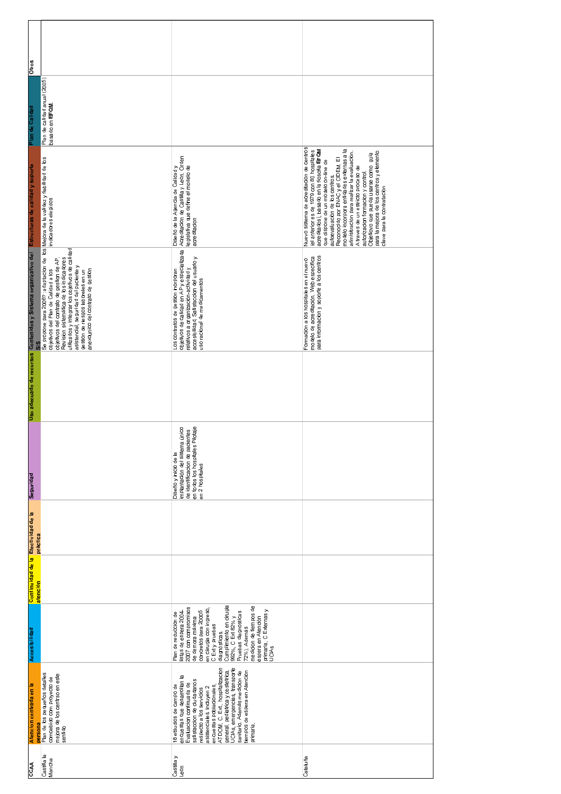| Otros                                                                                                  |                                                                                                                                                                                                                                                                                                                                                                                                                                            |                                                                                                                                                                                                                                                                                                                                                                                                 |                                                                                                                                                                                                                                                                                                                                                                                                                                                                                                                                        |
|--------------------------------------------------------------------------------------------------------|--------------------------------------------------------------------------------------------------------------------------------------------------------------------------------------------------------------------------------------------------------------------------------------------------------------------------------------------------------------------------------------------------------------------------------------------|-------------------------------------------------------------------------------------------------------------------------------------------------------------------------------------------------------------------------------------------------------------------------------------------------------------------------------------------------------------------------------------------------|----------------------------------------------------------------------------------------------------------------------------------------------------------------------------------------------------------------------------------------------------------------------------------------------------------------------------------------------------------------------------------------------------------------------------------------------------------------------------------------------------------------------------------------|
| Plan de Calidad                                                                                        | Plan de calidad anual (2005)<br>basado en <b>EFQM</b>                                                                                                                                                                                                                                                                                                                                                                                      |                                                                                                                                                                                                                                                                                                                                                                                                 |                                                                                                                                                                                                                                                                                                                                                                                                                                                                                                                                        |
|                                                                                                        |                                                                                                                                                                                                                                                                                                                                                                                                                                            | Diseño de la Agencia de Calidad y<br>Acreditacion de Castilla y Leon. Orden<br>Iegislativa que define el modelo de<br>acreditacion                                                                                                                                                                                                                                                              | Nuevo sistema de acreditacion de centros<br>Reconocido por ENAC y el CIDEM. El<br>modelo incorpora entidades externas a la<br>acreditados), basado en la fiosofia EFQM<br>(el anterior es de 1979 con 80 hospitales<br>admisitración para realizar la evaluación<br>para la mejora de los centros y elemento<br>Objetiovo que pueda usarse como guia<br>que dispone de un modelo on-line de<br>A traves de un estricto proceso de<br>autorizacion formacion y control.<br>autoevaluación de los centros.<br>clave para la contratación |
| Uso adecuado de recursos Contenidos y Sistema organizativo del Estructuras de calidad y soporte<br>SIS | Se propone para 2006? ∶adaptacion de   los <mark>Mejora de la validez y</mark> fiabilidad de los<br>objetivos del Plan de Calidad a los                  indicadores elegidos<br>utilizados y integrar los objetivos de calidad<br>objetivos del contrato de gestion de AP<br>Revisión sistemática de los indicadores<br>asistencial, seguridad del paciente y<br>gestion de riesgos laboreles en un<br>anexounico del contrato de gestion | Los contratos de gestion inorporan<br>objetivos de calidad en AP y especializada<br>relativos a organización-actividad y<br>accesibilidad, Satisfaccion del usuario y<br>uso racional de medicamentos                                                                                                                                                                                           | modelo de acreditación. Web específica<br>para informacion y soporte a los centros<br>Formacion a los hospitales en el nuevo                                                                                                                                                                                                                                                                                                                                                                                                           |
|                                                                                                        |                                                                                                                                                                                                                                                                                                                                                                                                                                            |                                                                                                                                                                                                                                                                                                                                                                                                 |                                                                                                                                                                                                                                                                                                                                                                                                                                                                                                                                        |
| Seguridad                                                                                              |                                                                                                                                                                                                                                                                                                                                                                                                                                            | de identificacion de pacientes<br>en todos los hospitales Pilotaje<br>único<br>implantación del sistema<br>Diseño y inicio de la<br>en 2 hospitales                                                                                                                                                                                                                                             |                                                                                                                                                                                                                                                                                                                                                                                                                                                                                                                                        |
| práctica                                                                                               |                                                                                                                                                                                                                                                                                                                                                                                                                                            |                                                                                                                                                                                                                                                                                                                                                                                                 |                                                                                                                                                                                                                                                                                                                                                                                                                                                                                                                                        |
| Continuidad de la Efectividad de la<br>atención                                                        |                                                                                                                                                                                                                                                                                                                                                                                                                                            |                                                                                                                                                                                                                                                                                                                                                                                                 |                                                                                                                                                                                                                                                                                                                                                                                                                                                                                                                                        |
| Accesibilidad                                                                                          |                                                                                                                                                                                                                                                                                                                                                                                                                                            | Cumplimiento en cirugia<br>medicion de tiempos de<br>2007 con compromisos<br>en ciirugia con ingreso <sub>;</sub><br>C Ext y pruebas<br>diagnósticas.<br>primaria, C Externas y<br>UCIAs<br>concretos para 20005<br>Pruebas diagnosticas<br>istas de espera 2004<br>Plan de reduccion de<br>992%, C Ext 82% y<br>espera en Atención<br>de demora máxima<br>72%). Además                         |                                                                                                                                                                                                                                                                                                                                                                                                                                                                                                                                        |
| Atencion centrada en la<br>persona                                                                     | Plan de los pequeños detalles<br>comcebido com proyecto de<br>mejora de los centrso en este<br>sentido                                                                                                                                                                                                                                                                                                                                     | encuestas poblacionales,<br>ATDOM , C. Ext., hospitalizacion<br>UCIAs, emergencias, transporte<br>general, pediatrica y obstetrica,<br>tiempos de espera en Atención<br>sanitario. Además medicion de<br>encuestas que de sarrollan la<br>satisfaccion de ciudadanos<br>Evaluacion continuada de<br>18 etsudios de campo de<br>asistenciales Incluyen 2<br>respecto a los servicios<br>primaria |                                                                                                                                                                                                                                                                                                                                                                                                                                                                                                                                        |
| CCAA                                                                                                   | Castilla la<br>Mancha                                                                                                                                                                                                                                                                                                                                                                                                                      | Castilla y<br>Leon                                                                                                                                                                                                                                                                                                                                                                              | Cataluña                                                                                                                                                                                                                                                                                                                                                                                                                                                                                                                               |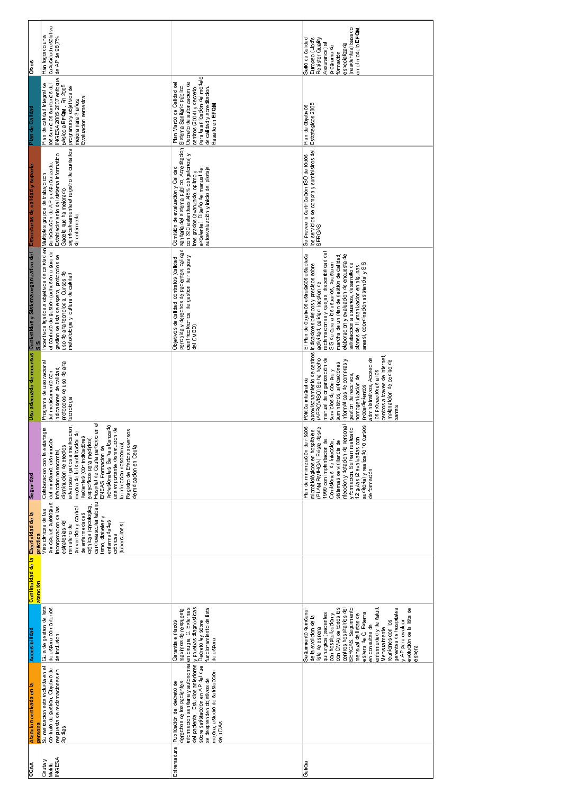| <b>Otros</b>                                                   | capacidad resolutiva<br>Han logrado una<br>de AP de 98,7%                                                                                                                                                                                                                                                                                                                                                                                                                              |                                                                                                                                                                                                                                                                                                      | (residentes) basado<br>en el modelo EFQM<br>Europeo (Llod's<br>Register Quality<br>Sello de calidad<br>especializada<br>ल<br>programade<br>Assurance)<br>formación                                                                                                                                                                                                                                                                                                               |
|----------------------------------------------------------------|----------------------------------------------------------------------------------------------------------------------------------------------------------------------------------------------------------------------------------------------------------------------------------------------------------------------------------------------------------------------------------------------------------------------------------------------------------------------------------------|------------------------------------------------------------------------------------------------------------------------------------------------------------------------------------------------------------------------------------------------------------------------------------------------------|----------------------------------------------------------------------------------------------------------------------------------------------------------------------------------------------------------------------------------------------------------------------------------------------------------------------------------------------------------------------------------------------------------------------------------------------------------------------------------|
| Plan de Calidad                                                | INGESA 2005-2007 enfoque<br>Plan de calidad Integral de<br>los servicios sanitarios del<br>básico a EFQM . En 2005<br>programas y objetivos de<br>Evaluacion semestral<br>mejora para 3 años.                                                                                                                                                                                                                                                                                          | para la aplicación del modelo<br>Decreto de autorizacion de<br>centros (2004) y decreto<br>Plan Marco de Calidad de<br>Sistema Sanitario público.<br>de calidad y acreditacion<br>Basado en EFQM                                                                                                     | Plan de objetivos<br>Estrategicos 2005                                                                                                                                                                                                                                                                                                                                                                                                                                           |
| Estructuras de calidad y soporte                               | significativamente el registro de cuidados<br>participacion de AP y especializada.<br>Establecimiento del sistema informatico<br>Gacela que ha mejorado<br>de enfermeria                                                                                                                                                                                                                                                                                                               | sanitaria del sistema publico. Acreditacion<br>con 320 estandæs <i>I</i> 48% obligatorios) y<br>tres grados (avanzado, opitmo y<br>autoevaluación y inicio del pilotaje<br>Comision de evaluacion y Calidad<br>excelente). Diseño del manual de                                                      | los servicios de compra y suministros del<br>SERGAS<br>Se prevee la certificación ISO de todos                                                                                                                                                                                                                                                                                                                                                                                   |
| Uso adecuado de recursos Contenidos y Sistema organizativo del | Incentivos ligados a objetivos de calidad en Multiples grupos de trabajo con<br>el contrato de gestion (adhesion a guia de<br>gestion de lista de espera, protocolos de<br>uso de alta tecnologia. Cursos de<br>metodologia y cultura de calidad                                                                                                                                                                                                                                       | percibida y derechos de pacientes, calidad<br>científicotécnica, de gestion de riesgos y<br>del CMBD)<br>Objetivos de calidad contratos (calidad                                                                                                                                                     | reclamaciones y quejas, disponibilidad de<br>El Plan de objetivos estragicos establece<br>elaboracion y evaluacion de encuesta de<br>SIS de cara a los usuarios, puesta en<br>marcha de un plan de gestion de calidad,<br>planes de Humanizacion en algunas<br>areas), coordinacion asistencial y SIS<br>aprovisonamiento de centros indicadores básicos y precisos sobre<br>(APROVISO) Se ha hecho     actividad  calidad (gestion de<br>satisfaccion a usuarios, desarrollo de |
|                                                                | Programa de uso racional<br>protocolos de uso de alta<br>indicadores de calidad<br>del medicamento con<br>tecnologia                                                                                                                                                                                                                                                                                                                                                                   |                                                                                                                                                                                                                                                                                                      | centros a traves de internet<br>manual de organización de<br>administrativos, Acceso de<br>informáticas de compras y<br>mplanatcion de código de<br>suministros, aplicaciones<br>servicios de compray<br>los proveedores a los<br>gestion de recursos,<br>homogenización de<br>Politica integral de<br>procedimientos<br>barras.                                                                                                                                                 |
| Seguridad                                                      | $\overline{\Phi}$<br>profesionales. Se ha alcanzado<br>adversos ligados a medicacion<br>Colaboracion con la estartegia<br>específicos para medirlos).<br>Hospital de Ceuta participo en<br>una importante disminucion de<br>Registro de Efectos adversos<br>mejora de la identificacion de<br>pacientes (con indicadores<br>del ministerio: disminucion<br>la infreccion nosocomial.<br>de mdicacion en Ceuta<br>disminucion de efectos<br>ENEAS. Formacion de<br>infeccion nosocomial |                                                                                                                                                                                                                                                                                                      | sistemas de vigilancia de<br>nfeccion y dotacion de personal<br><b>Cursos</b><br>risgos<br>desde<br>y formacion. Se ha n realizado<br>microbiológicos en hospitales<br>12 guias (2 evaluadas con<br>1999 con implantacion de<br>Comisiones de infeccion<br>Plan de minimizacion de<br>auditoria) y realizado 10<br>(PLAMIRMIHGA) Existe<br>de formación                                                                                                                          |
| Continuidad de la Efectividad de la                            | principales patologías.<br>cardiovascular, tabaqu<br>crónicas (oncologica,<br>Incorporacion de las<br>prevencion y control<br>Vias clinicas de las<br>de enfermedades<br>ismo, diabetes y<br>estrategias del<br>enfermedades<br>(tuberculosis)<br>ministerio de<br>crónicas<br>práctica                                                                                                                                                                                                |                                                                                                                                                                                                                                                                                                      |                                                                                                                                                                                                                                                                                                                                                                                                                                                                                  |
|                                                                | atención                                                                                                                                                                                                                                                                                                                                                                                                                                                                               |                                                                                                                                                                                                                                                                                                      |                                                                                                                                                                                                                                                                                                                                                                                                                                                                                  |
| Accesibilidad                                                  | Guia de gestion de lista<br>de espera con criterios<br>de inclusion                                                                                                                                                                                                                                                                                                                                                                                                                    | funcionamiento de lista<br>maximos de respuesta<br>Decreto ley sobre<br>Garantia e plazos<br>de espera                                                                                                                                                                                               | con CMA) de todos los<br>centros hospitalrios del<br>SERGAS Seguimiento<br>enfermedad y de salud<br>gerentes de hospitales<br>evolucion de la lista de<br>Seguimiento quincenal<br>espera de C. Externa<br>quirurgica (pacientes<br>con hospitalizacion y<br>mensual de listas de<br>de la evolicion de la<br>reuniones con los<br>y AP para evaluar<br>en consultas de<br>ista de espera<br>Mensualmente<br>espera.                                                             |
| Atencion centrada en la                                        | Su realizacion esta incluida en el<br>contrato de gestion. Objetivo de<br>respuesta de reclamaciones en<br>persona<br>30 dias                                                                                                                                                                                                                                                                                                                                                          | informacion sanitaria y autonomia en cirugia, C. Externas<br>del paciente . Estudios anteriores y pruebas diagnósticas<br>sobre satisfaccion en AP del que<br>mejora, estudio de satisfaccion<br>se de sprenden objetivos de<br>derechos de los pacientes,<br>Publicacion del decreto de<br>de uCIAs |                                                                                                                                                                                                                                                                                                                                                                                                                                                                                  |
| CCAA                                                           | <b>NGESA</b><br>Ceutay<br>Melilla                                                                                                                                                                                                                                                                                                                                                                                                                                                      | Extremadura                                                                                                                                                                                                                                                                                          | Galicia                                                                                                                                                                                                                                                                                                                                                                                                                                                                          |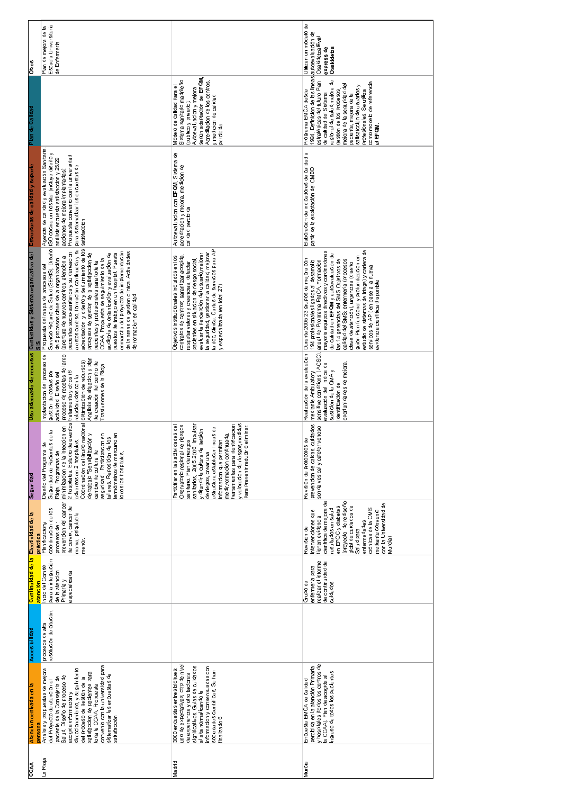| <b>Otros</b>                                                                  | Plan de mejora de la<br>Escuela Universitaria<br>de Enfermeria                                                                                                                                                                                                                                                                                                                                                                                                                                                                                                                                                                                              |                                                                                                                                                                                                                                                                                                                                                                                                              | Utilizan un modelo de<br>Osakidetza Eval<br>express de<br>Osakidetza                                                                                                                                                                                                                                                                                                                                                                                                                                        |
|-------------------------------------------------------------------------------|-------------------------------------------------------------------------------------------------------------------------------------------------------------------------------------------------------------------------------------------------------------------------------------------------------------------------------------------------------------------------------------------------------------------------------------------------------------------------------------------------------------------------------------------------------------------------------------------------------------------------------------------------------------|--------------------------------------------------------------------------------------------------------------------------------------------------------------------------------------------------------------------------------------------------------------------------------------------------------------------------------------------------------------------------------------------------------------|-------------------------------------------------------------------------------------------------------------------------------------------------------------------------------------------------------------------------------------------------------------------------------------------------------------------------------------------------------------------------------------------------------------------------------------------------------------------------------------------------------------|
| Plan de Calidad                                                               |                                                                                                                                                                                                                                                                                                                                                                                                                                                                                                                                                                                                                                                             | según adaptación del EFQM<br>Sistema sanitario madrileño<br>Acreditacion de los centros,<br>Modelo de calidad para el<br>Autoevaluacion y mejora<br>y medicion de calidad<br>(publico y privado)<br>percibida                                                                                                                                                                                                | 1994. Definicion de las lineas autoevaluación de<br>estratégicas del futuro Plan<br>regional de salud mejora de<br>como modelo de referencia<br>mejora de la seguridad del<br>satisatcción de usuarios y<br>Programa EMCA desde<br>gestión de los procesos<br>profesionales. Se utiliza<br>de calidad del Sistema<br>paciente, mejora de la<br>el EFQM                                                                                                                                                      |
| Estructuras de calidad y soporte                                              | Agencia de calidad y evaluación Sanitaria.<br>ISO cocina un hospital (incluye diseño y<br>Propuesta convenio con la universidad<br>análisis encuesta satisfaccion y 25/29<br>para sistematizar las encuestas de<br>acciones de mejora implantadas);<br>satisfacción                                                                                                                                                                                                                                                                                                                                                                                         | Auitoevaluacion con EFQM, Sistema de<br>acreditacion y mejora, medicion de<br>calidad percibida                                                                                                                                                                                                                                                                                                              | $\varpi$<br>Elaboración de indicadores de calidad<br>partir de la explotación del CMBD                                                                                                                                                                                                                                                                                                                                                                                                                      |
| Uso adecuado de recursos Contenidos y Sistema organizativo del<br>$rac{6}{5}$ | acreditación y diseño y seguimiento de los<br>Propuesta del mapa de procesos del<br>Servicio Riojano de Salud (SERIS). Diseño<br>a estos centrso, formación continuada y su<br>de la areas de gestion clínica. Actividades<br>pacientes socio-sanitarios y su derivacion<br>enmarcha del proyecto de implementación<br>puestos de trabajo en un hospital Puesta<br>procesos de gestion de la satisfaccion de<br>auditoria de organizacion y evaluacion de<br>de 5 procesos clave de la organixación<br>(apertura de nuevos centros, atencion a<br>CCAA. Propuesta de seguimiento de la<br>pacientes y profesionales para toda la<br>de formación en calidad | la doc. clinica. Cartas de servicios para AP<br>la seguridad, gestionar la calidad, mejorar<br>evaluar la percepcion del usuario mejorar<br>contratos de centros: garantizar acogida,<br>Objetivos institucionales incluidos enl os<br>pacientes en situacion de riesgo social<br>respetar valores y creencias, detectar<br>y especializada (en total 27)                                                    | estudio de sistemas de triage) y cartera de<br>mayoria equipos directivos y cordinadores<br>de calidad en EFQM y autoevaluación de<br>guion Plan funcional y profundizacion en<br>Durante 2005 23 grupos de mejora con<br>calidad del SMS: enfermeria (procesos<br>194 profesionales ligados al desarrollo<br>anual del Programa EMCA. Formacion<br>las 14 gerencias del SMS Objetivos de<br>clave de atención), urgencias (diseño<br>servicos de AP (en base a la nueva<br>evidencia científica disponible |
|                                                                               | proceso de recetas de largo<br>Implantacion del proceso de<br>Analisis de situacion y plan<br>de creación del centro de<br>Trasfusiones de la Rioja<br>gestion de costes por<br>actividad. Diseño del<br>relacionados con la                                                                                                                                                                                                                                                                                                                                                                                                                                |                                                                                                                                                                                                                                                                                                                                                                                                              | Realización de la evaluación<br>sensitive conditions (ACSC)<br>oportunidades de mejora<br>evaluación del indice de<br>sustición de la CMA y<br>mediante Ambulatory<br>identificación de                                                                                                                                                                                                                                                                                                                     |
| Seguridad                                                                     | 2 hospitales. Estudio de eventos tratamiento y otros (6<br>ne noi.<br>Diseño del Programa de<br>Seguridad de Pacientes de la<br>δ<br>seguridad" Participacion en<br>talleres. Reposicion de los<br>adversos en 2 hospitales<br>termómetros de mercurio<br>minimizacion de la infecc<br>cambio de cultura de<br>Rioja. Programas de<br>todos los hospitales.                                                                                                                                                                                                                                                                                                 | y valoracion de riesgos medidas<br>sanitarios, 2005-2006. Impulsar<br>herramientas para identificacion<br>Oservatorio regional de riesgos<br>Participar en las actividades del<br>para prevenir reducir o eliminar<br>estructura, establecer lineas de<br>y difundir la cultura de getsion<br>medir, formacion continuada,<br>sanitario. Plan de riesgos<br>informacion que permitan<br>de riegos, crear una | prevencion de caidas, cuidados<br>sonda vesical y cateter venoso<br>Revision de protocolos de                                                                                                                                                                                                                                                                                                                                                                                                               |
| Efectividad de la                                                             | prevencion del cancer<br>de cervix, cancer de<br>coordinacion de los<br>mama, psiquiatria<br>práctica<br>Planificaciony<br>procesos de<br>menor.                                                                                                                                                                                                                                                                                                                                                                                                                                                                                                            |                                                                                                                                                                                                                                                                                                                                                                                                              | cientifica de mejora de<br>(proyecto de rediseño<br>con la Universidad de<br>globi de cuidados de<br>Salud para<br>en EPOC y diabetes<br>crónicas de la OMS<br>resultados en salud<br>intervenciones que<br>mediante convenio<br>tienen evidencia<br>enfermedades<br>Revisión de<br>Murcia)                                                                                                                                                                                                                 |
| Continuidad de la<br>atención                                                 | para la integración<br>Incio del Comité<br>de la atencion<br>especializada<br>Primaria y                                                                                                                                                                                                                                                                                                                                                                                                                                                                                                                                                                    |                                                                                                                                                                                                                                                                                                                                                                                                              | realizar el informe<br>de continuidad de<br>enfermeria para<br>Grupo de<br>cuidados                                                                                                                                                                                                                                                                                                                                                                                                                         |
| Accesibilidad                                                                 | procesos de alta<br>resolucion de citación,                                                                                                                                                                                                                                                                                                                                                                                                                                                                                                                                                                                                                 |                                                                                                                                                                                                                                                                                                                                                                                                              |                                                                                                                                                                                                                                                                                                                                                                                                                                                                                                             |
| Atencion centrada en la<br>persona                                            | convenio con la universidad para<br>Analisis y propuestas de mejora<br>direccionamiento, y seguimiento<br>satisfaccion de pacientes para<br>sistematizar las encuestas de<br>Salud. Diseño de proceso de<br>paciente de la Consejeria de<br>del proceso de gestion de la<br>del Proyecto de atencion al<br>toda la CCAA. Propuesta<br>acogida información y<br>satisfacción                                                                                                                                                                                                                                                                                 | uno de expectativas, otro de nive<br>significativos. Guias de cuidados<br>informacion y consensuadas con<br>3000 encuestas entres bioques<br>sociedades científicas. Se han<br>finalizado 6<br>de experiencia y otro factores<br>al alta normalizando la                                                                                                                                                     | percibida en la atención Primaria<br>y hospitales (todos los centros de<br>la CCAA). Plan de acogida al<br>ngreso de todos los pacientes<br>Encuesta EMCA de calidad                                                                                                                                                                                                                                                                                                                                        |
| CCAA                                                                          | La Rioja                                                                                                                                                                                                                                                                                                                                                                                                                                                                                                                                                                                                                                                    | Madrid                                                                                                                                                                                                                                                                                                                                                                                                       | Murcia                                                                                                                                                                                                                                                                                                                                                                                                                                                                                                      |